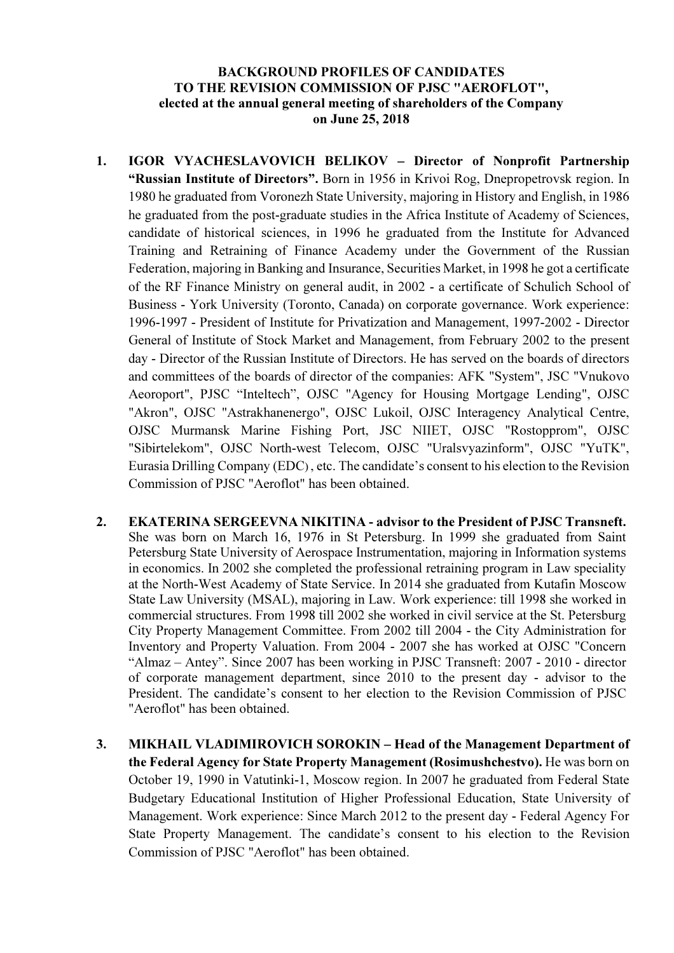## BACKGROUND PROFILES OF CANDIDATES TO THE REVISION COMMISSION OF PJSC "AEROFLOT", elected at the annual general meeting of shareholders of the Company on June 25, 2018

- 1. IGOR VYACHESLAVOVICH BELIKOV Director of Nonprofit Partnership "Russian Institute of Directors". Born in 1956 in Krivoi Rog, Dnepropetrovsk region. In 1980 he graduated from Voronezh State University, majoring in History and English, in 1986 he graduated from the post-graduate studies in the Africa Institute of Academy of Sciences, candidate of historical sciences, in 1996 he graduated from the Institute for Advanced Training and Retraining of Finance Academy under the Government of the Russian Federation, majoring in Banking and Insurance, Securities Market, in 1998 he got a certificate of the RF Finance Ministry on general audit, in 2002 - a certificate of Schulich School of Business - York University (Toronto, Canada) on corporate governance. Work experience: 1996-1997 - President of Institute for Privatization and Management, 1997-2002 - Director General of Institute of Stock Market and Management, from February 2002 to the present day - Director of the Russian Institute of Directors. He has served on the boards of directors and committees of the boards of director of the companies: AFK "System", JSC "Vnukovo Aeoroport", PJSC "Inteltech", OJSC "Agency for Housing Mortgage Lending", OJSC "Akron", OJSC "Astrakhanenergo", OJSC Lukoil, OJSC Interagency Analytical Centre, OJSC Murmansk Marine Fishing Port, JSC NIIET, OJSC "Rostopprom", OJSC "Sibirtelekom", OJSC North-west Telecom, OJSC "Uralsvyazinform", OJSC "YuTK", Eurasia Drilling Company (EDC) , etc. The candidate's consent to his election to the Revision Commission of PJSC "Aeroflot" has been obtained.
- 2. EKATERINA SERGEEVNA NIKITINA advisor to the President of PJSC Transneft. She was born on March 16, 1976 in St Petersburg. In 1999 she graduated from Saint Petersburg State University of Aerospace Instrumentation, majoring in Information systems in economics. In 2002 she completed the professional retraining program in Law speciality at the North-West Academy of State Service. In 2014 she graduated from Kutafin Moscow State Law University (MSAL), majoring in Law. Work experience: till 1998 she worked in commercial structures. From 1998 till 2002 she worked in civil service at the St. Petersburg City Property Management Committee. From 2002 till 2004 - the City Administration for Inventory and Property Valuation. From 2004 - 2007 she has worked at OJSC "Concern "Almaz – Antey". Since 2007 has been working in PJSC Transneft: 2007 - 2010 - director of corporate management department, since 2010 to the present day - advisor to the President. The candidate's consent to her election to the Revision Commission of PJSC "Aeroflot" has been obtained.
- 3. MIKHAIL VLADIMIROVICH SOROKIN Head of the Management Department of the Federal Agency for State Property Management (Rosimushchestvo). He was born on October 19, 1990 in Vatutinki-1, Moscow region. In 2007 he graduated from Federal State Budgetary Educational Institution of Higher Professional Education, State University of Management. Work experience: Since March 2012 to the present day - Federal Agency For State Property Management. The candidate's consent to his election to the Revision Commission of PJSC "Aeroflot" has been obtained.